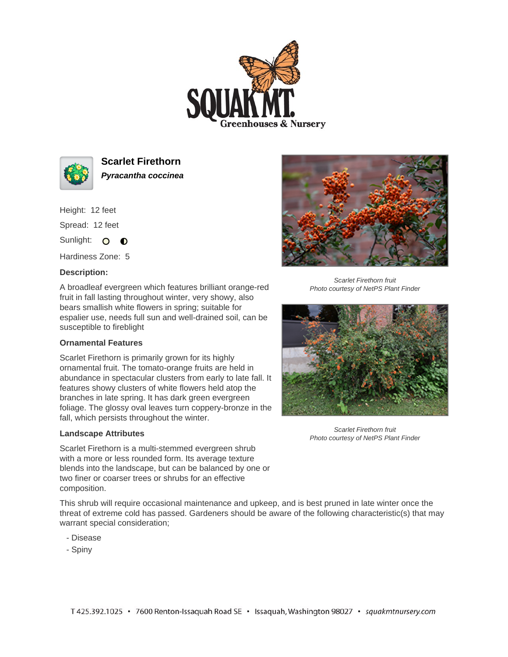



**Scarlet Firethorn Pyracantha coccinea**

Height: 12 feet Spread: 12 feet

Sunlight: O **O** 

Hardiness Zone: 5

## **Description:**

A broadleaf evergreen which features brilliant orange-red fruit in fall lasting throughout winter, very showy, also bears smallish white flowers in spring; suitable for espalier use, needs full sun and well-drained soil, can be susceptible to fireblight

## **Ornamental Features**

Scarlet Firethorn is primarily grown for its highly ornamental fruit. The tomato-orange fruits are held in abundance in spectacular clusters from early to late fall. It features showy clusters of white flowers held atop the branches in late spring. It has dark green evergreen foliage. The glossy oval leaves turn coppery-bronze in the fall, which persists throughout the winter.

## **Landscape Attributes**

Scarlet Firethorn is a multi-stemmed evergreen shrub with a more or less rounded form. Its average texture blends into the landscape, but can be balanced by one or two finer or coarser trees or shrubs for an effective composition.



- Disease
- Spiny



Scarlet Firethorn fruit Photo courtesy of NetPS Plant Finder



Scarlet Firethorn fruit Photo courtesy of NetPS Plant Finder